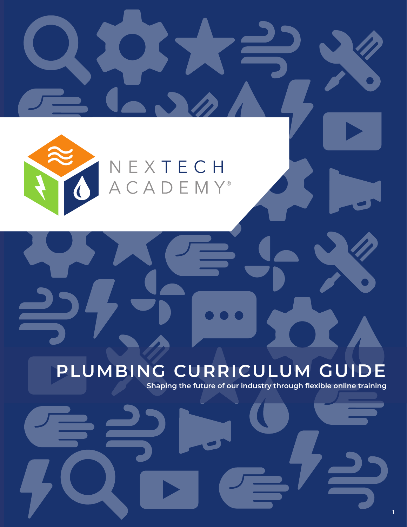NEXTECH<br>ACADEMY®

N.

#### **PLUMBING CURRICULUM GUIDE**

**Shaping the future of our industry through flexible online training** 

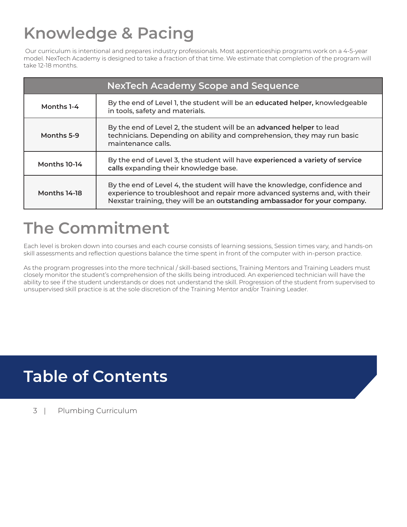# **Knowledge & Pacing**

 Our curriculum is intentional and prepares industry professionals. Most apprenticeship programs work on a 4-5-year model. NexTech Academy is designed to take a fraction of that time. We estimate that completion of the program will take 12-18 months.

| <b>NexTech Academy Scope and Sequence</b> |                                                                                                                                                                                                                                         |  |
|-------------------------------------------|-----------------------------------------------------------------------------------------------------------------------------------------------------------------------------------------------------------------------------------------|--|
| Months 1-4                                | By the end of Level 1, the student will be an educated helper, knowledgeable<br>in tools, safety and materials.                                                                                                                         |  |
| Months 5-9                                | By the end of Level 2, the student will be an advanced helper to lead<br>technicians. Depending on ability and comprehension, they may run basic<br>maintenance calls.                                                                  |  |
| Months 10-14                              | By the end of Level 3, the student will have experienced a variety of service<br>calls expanding their knowledge base.                                                                                                                  |  |
| Months 14-18                              | By the end of Level 4, the student will have the knowledge, confidence and<br>experience to troubleshoot and repair more advanced systems and, with their<br>Nexstar training, they will be an outstanding ambassador for your company. |  |

#### **The Commitment**

Each level is broken down into courses and each course consists of learning sessions, Session times vary, and hands-on skill assessments and reflection questions balance the time spent in front of the computer with in-person practice.

As the program progresses into the more technical / skill-based sections, Training Mentors and Training Leaders must closely monitor the student's comprehension of the skills being introduced. An experienced technician will have the ability to see if the student understands or does not understand the skill. Progression of the student from supervised to unsupervised skill practice is at the sole discretion of the Training Mentor and/or Training Leader.

#### **Table of Contents**

3 | Plumbing Curriculum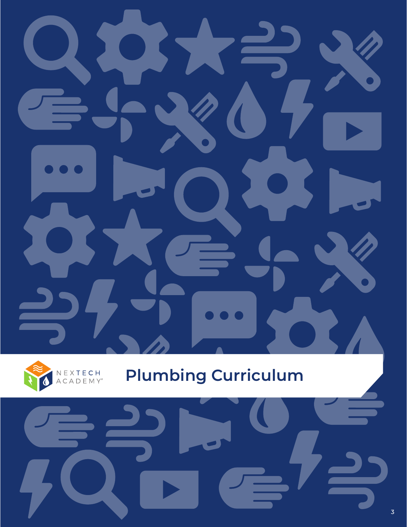

# **Plumbing Curriculum**

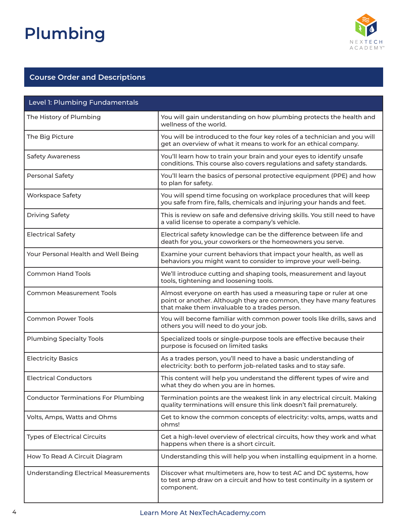

| Level 1: Plumbing Fundamentals               |                                                                                                                                                                                            |  |
|----------------------------------------------|--------------------------------------------------------------------------------------------------------------------------------------------------------------------------------------------|--|
| The History of Plumbing                      | You will gain understanding on how plumbing protects the health and<br>wellness of the world.                                                                                              |  |
| The Big Picture                              | You will be introduced to the four key roles of a technician and you will<br>get an overview of what it means to work for an ethical company.                                              |  |
| <b>Safety Awareness</b>                      | You'll learn how to train your brain and your eyes to identify unsafe<br>conditions. This course also covers regulations and safety standards.                                             |  |
| Personal Safety                              | You'll learn the basics of personal protective equipment (PPE) and how<br>to plan for safety.                                                                                              |  |
| <b>Workspace Safety</b>                      | You will spend time focusing on workplace procedures that will keep<br>you safe from fire, falls, chemicals and injuring your hands and feet.                                              |  |
| <b>Driving Safety</b>                        | This is review on safe and defensive driving skills. You still need to have<br>a valid license to operate a company's vehicle.                                                             |  |
| <b>Electrical Safety</b>                     | Electrical safety knowledge can be the difference between life and<br>death for you, your coworkers or the homeowners you serve.                                                           |  |
| Your Personal Health and Well Being          | Examine your current behaviors that impact your health, as well as<br>behaviors you might want to consider to improve your well-being.                                                     |  |
| <b>Common Hand Tools</b>                     | We'll introduce cutting and shaping tools, measurement and layout<br>tools, tightening and loosening tools.                                                                                |  |
| <b>Common Measurement Tools</b>              | Almost everyone on earth has used a measuring tape or ruler at one<br>point or another. Although they are common, they have many features<br>that make them invaluable to a trades person. |  |
| <b>Common Power Tools</b>                    | You will become familiar with common power tools like drills, saws and<br>others you will need to do your job.                                                                             |  |
| <b>Plumbing Specialty Tools</b>              | Specialized tools or single-purpose tools are effective because their<br>purpose is focused on limited tasks                                                                               |  |
| <b>Electricity Basics</b>                    | As a trades person, you'll need to have a basic understanding of<br>electricity: both to perform job-related tasks and to stay safe.                                                       |  |
| <b>Electrical Conductors</b>                 | This content will help you understand the different types of wire and<br>what they do when you are in homes.                                                                               |  |
| <b>Conductor Terminations For Plumbing</b>   | Termination points are the weakest link in any electrical circuit. Making<br>quality terminations will ensure this link doesn't fail prematurely.                                          |  |
| Volts, Amps, Watts and Ohms                  | Get to know the common concepts of electricity: volts, amps, watts and<br>ohms!                                                                                                            |  |
| <b>Types of Electrical Circuits</b>          | Get a high-level overview of electrical circuits, how they work and what<br>happens when there is a short circuit.                                                                         |  |
| How To Read A Circuit Diagram                | Understanding this will help you when installing equipment in a home.                                                                                                                      |  |
| <b>Understanding Electrical Measurements</b> | Discover what multimeters are, how to test AC and DC systems, how<br>to test amp draw on a circuit and how to test continuity in a system or<br>component.                                 |  |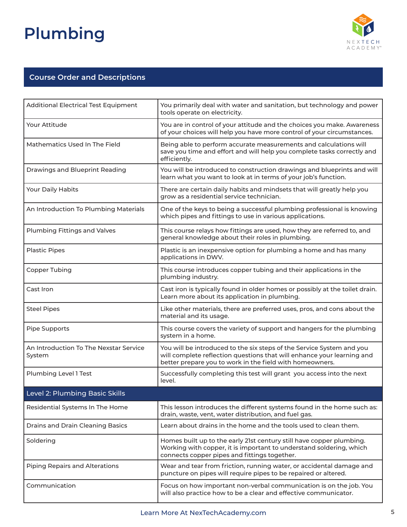

| <b>Additional Electrical Test Equipment</b>      | You primarily deal with water and sanitation, but technology and power<br>tools operate on electricity.                                                                                                     |
|--------------------------------------------------|-------------------------------------------------------------------------------------------------------------------------------------------------------------------------------------------------------------|
| Your Attitude                                    | You are in control of your attitude and the choices you make. Awareness<br>of your choices will help you have more control of your circumstances.                                                           |
| Mathematics Used In The Field                    | Being able to perform accurate measurements and calculations will<br>save you time and effort and will help you complete tasks correctly and<br>efficiently.                                                |
| Drawings and Blueprint Reading                   | You will be introduced to construction drawings and blueprints and will<br>learn what you want to look at in terms of your job's function.                                                                  |
| Your Daily Habits                                | There are certain daily habits and mindsets that will greatly help you<br>grow as a residential service technician.                                                                                         |
| An Introduction To Plumbing Materials            | One of the keys to being a successful plumbing professional is knowing<br>which pipes and fittings to use in various applications.                                                                          |
| Plumbing Fittings and Valves                     | This course relays how fittings are used, how they are referred to, and<br>general knowledge about their roles in plumbing.                                                                                 |
| <b>Plastic Pipes</b>                             | Plastic is an inexpensive option for plumbing a home and has many<br>applications in DWV.                                                                                                                   |
| Copper Tubing                                    | This course introduces copper tubing and their applications in the<br>plumbing industry.                                                                                                                    |
| Cast Iron                                        | Cast iron is typically found in older homes or possibly at the toilet drain.<br>Learn more about its application in plumbing.                                                                               |
| <b>Steel Pipes</b>                               | Like other materials, there are preferred uses, pros, and cons about the<br>material and its usage.                                                                                                         |
| Pipe Supports                                    | This course covers the variety of support and hangers for the plumbing<br>system in a home.                                                                                                                 |
| An Introduction To The Nexstar Service<br>System | You will be introduced to the six steps of the Service System and you<br>will complete reflection questions that will enhance your learning and<br>better prepare you to work in the field with homeowners. |
| Plumbing Level 1 Test                            | Successfully completing this test will grant you access into the next<br>level.                                                                                                                             |
| Level 2: Plumbing Basic Skills                   |                                                                                                                                                                                                             |
| Residential Systems In The Home                  | This lesson introduces the different systems found in the home such as:<br>drain, waste, vent, water distribution, and fuel gas.                                                                            |
| Drains and Drain Cleaning Basics                 | Learn about drains in the home and the tools used to clean them.                                                                                                                                            |
| Soldering                                        | Homes built up to the early 21st century still have copper plumbing.<br>Working with copper, it is important to understand soldering, which<br>connects copper pipes and fittings together.                 |
| <b>Piping Repairs and Alterations</b>            | Wear and tear from friction, running water, or accidental damage and<br>puncture on pipes will require pipes to be repaired or altered.                                                                     |
| Communication                                    | Focus on how important non-verbal communication is on the job. You<br>will also practice how to be a clear and effective communicator.                                                                      |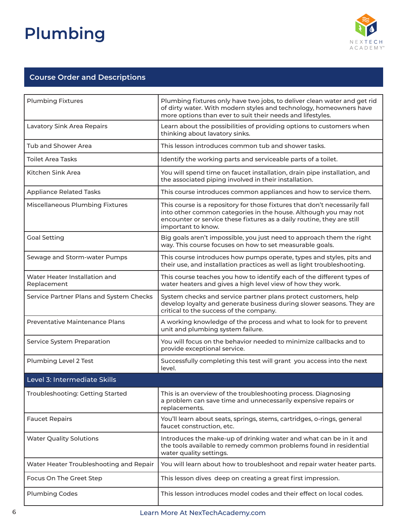

| <b>Plumbing Fixtures</b>                     | Plumbing fixtures only have two jobs, to deliver clean water and get rid<br>of dirty water. With modern styles and technology, homeowners have<br>more options than ever to suit their needs and lifestyles.                                  |
|----------------------------------------------|-----------------------------------------------------------------------------------------------------------------------------------------------------------------------------------------------------------------------------------------------|
| Lavatory Sink Area Repairs                   | Learn about the possibilities of providing options to customers when<br>thinking about lavatory sinks.                                                                                                                                        |
| <b>Tub and Shower Area</b>                   | This lesson introduces common tub and shower tasks.                                                                                                                                                                                           |
| <b>Toilet Area Tasks</b>                     | Identify the working parts and serviceable parts of a toilet.                                                                                                                                                                                 |
| Kitchen Sink Area                            | You will spend time on faucet installation, drain pipe installation, and<br>the associated piping involved in their installation.                                                                                                             |
| <b>Appliance Related Tasks</b>               | This course introduces common appliances and how to service them.                                                                                                                                                                             |
| <b>Miscellaneous Plumbing Fixtures</b>       | This course is a repository for those fixtures that don't necessarily fall<br>into other common categories in the house. Although you may not<br>encounter or service these fixtures as a daily routine, they are still<br>important to know. |
| <b>Goal Setting</b>                          | Big goals aren't impossible, you just need to approach them the right<br>way. This course focuses on how to set measurable goals.                                                                                                             |
| Sewage and Storm-water Pumps                 | This course introduces how pumps operate, types and styles, pits and<br>their use, and installation practices as well as light troubleshooting.                                                                                               |
| Water Heater Installation and<br>Replacement | This course teaches you how to identify each of the different types of<br>water heaters and gives a high level view of how they work.                                                                                                         |
| Service Partner Plans and System Checks      | System checks and service partner plans protect customers, help<br>develop loyalty and generate business during slower seasons. They are<br>critical to the success of the company.                                                           |
| <b>Preventative Maintenance Plans</b>        | A working knowledge of the process and what to look for to prevent<br>unit and plumbing system failure.                                                                                                                                       |
| Service System Preparation                   | You will focus on the behavior needed to minimize callbacks and to<br>provide exceptional service.                                                                                                                                            |
| Plumbing Level 2 Test                        | Successfully completing this test will grant you access into the next<br>level.                                                                                                                                                               |
| Level 3: Intermediate Skills                 |                                                                                                                                                                                                                                               |
| Troubleshooting: Getting Started             | This is an overview of the troubleshooting process. Diagnosing<br>a problem can save time and unnecessarily expensive repairs or<br>replacements.                                                                                             |
| <b>Faucet Repairs</b>                        | You'll learn about seats, springs, stems, cartridges, o-rings, general<br>faucet construction, etc.                                                                                                                                           |
| <b>Water Quality Solutions</b>               | Introduces the make-up of drinking water and what can be in it and<br>the tools available to remedy common problems found in residential<br>water quality settings.                                                                           |
| Water Heater Troubleshooting and Repair      | You will learn about how to troubleshoot and repair water heater parts.                                                                                                                                                                       |
| Focus On The Greet Step                      | This lesson dives deep on creating a great first impression.                                                                                                                                                                                  |
| <b>Plumbing Codes</b>                        | This lesson introduces model codes and their effect on local codes.                                                                                                                                                                           |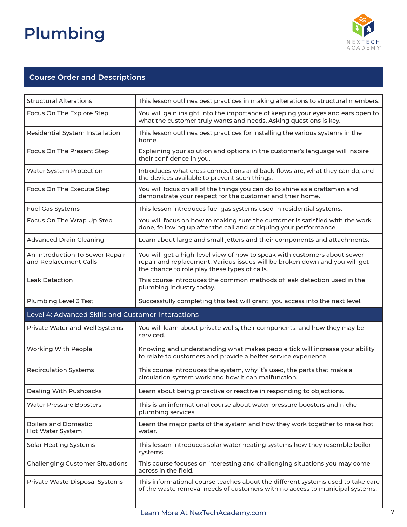

| <b>Structural Alterations</b>                            | This lesson outlines best practices in making alterations to structural members.                                                                                                                          |
|----------------------------------------------------------|-----------------------------------------------------------------------------------------------------------------------------------------------------------------------------------------------------------|
| Focus On The Explore Step                                | You will gain insight into the importance of keeping your eyes and ears open to<br>what the customer truly wants and needs. Asking questions is key.                                                      |
| Residential System Installation                          | This lesson outlines best practices for installing the various systems in the<br>home.                                                                                                                    |
| Focus On The Present Step                                | Explaining your solution and options in the customer's language will inspire<br>their confidence in you.                                                                                                  |
| Water System Protection                                  | Introduces what cross connections and back-flows are, what they can do, and<br>the devices available to prevent such things.                                                                              |
| Focus On The Execute Step                                | You will focus on all of the things you can do to shine as a craftsman and<br>demonstrate your respect for the customer and their home.                                                                   |
| <b>Fuel Gas Systems</b>                                  | This lesson introduces fuel gas systems used in residential systems.                                                                                                                                      |
| Focus On The Wrap Up Step                                | You will focus on how to making sure the customer is satisfied with the work<br>done, following up after the call and critiquing your performance.                                                        |
| <b>Advanced Drain Cleaning</b>                           | Learn about large and small jetters and their components and attachments.                                                                                                                                 |
| An Introduction To Sewer Repair<br>and Replacement Calls | You will get a high-level view of how to speak with customers about sewer<br>repair and replacement. Various issues will be broken down and you will get<br>the chance to role play these types of calls. |
| Leak Detection                                           | This course introduces the common methods of leak detection used in the<br>plumbing industry today.                                                                                                       |
| Plumbing Level 3 Test                                    | Successfully completing this test will grant you access into the next level.                                                                                                                              |
| Level 4: Advanced Skills and Customer Interactions       |                                                                                                                                                                                                           |
| Private Water and Well Systems                           | You will learn about private wells, their components, and how they may be<br>serviced.                                                                                                                    |
| Working With People                                      | Knowing and understanding what makes people tick will increase your ability<br>to relate to customers and provide a better service experience.                                                            |
| <b>Recirculation Systems</b>                             | This course introduces the system, why it's used, the parts that make a<br>circulation system work and how it can malfunction.                                                                            |
| Dealing With Pushbacks                                   | Learn about being proactive or reactive in responding to objections.                                                                                                                                      |
| <b>Water Pressure Boosters</b>                           | This is an informational course about water pressure boosters and niche<br>plumbing services.                                                                                                             |
| <b>Boilers and Domestic</b><br>Hot Water System          | Learn the major parts of the system and how they work together to make hot<br>water.                                                                                                                      |
| <b>Solar Heating Systems</b>                             | This lesson introduces solar water heating systems how they resemble boiler<br>systems.                                                                                                                   |
| <b>Challenging Customer Situations</b>                   | This course focuses on interesting and challenging situations you may come<br>across in the field.                                                                                                        |
| Private Waste Disposal Systems                           | This informational course teaches about the different systems used to take care<br>of the waste removal needs of customers with no access to municipal systems.                                           |